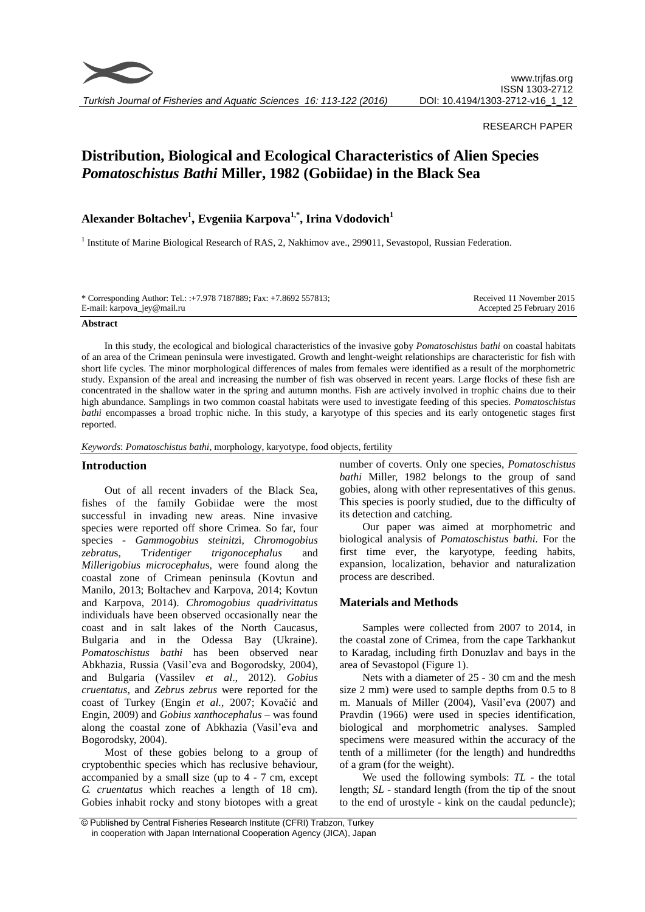

# RESEARCH PAPER

# **Distribution, Biological and Ecological Characteristics of Alien Species**  *Pomatoschistus Bathi* **Miller, 1982 (Gobiidae) in the Black Sea**

# **Alexander Boltachev<sup>1</sup> , Evgeniia Karpova1,\* , Irina Vdodovich<sup>1</sup>**

<sup>1</sup> Institute of Marine Biological Research of RAS, 2, Nakhimov ave., 299011, Sevastopol, Russian Federation.

| * Corresponding Author: Tel.: :+7.978 7187889; Fax: +7.8692 557813; | Received 11 November 2015 |
|---------------------------------------------------------------------|---------------------------|
| E-mail: karpova_jey@mail.ru                                         | Accepted 25 February 2016 |

#### **Abstract**

In this study, the ecological and biological characteristics of the invasive goby *Pomatoschistus bathi* on coastal habitats of an area of the Crimean peninsula were investigated. Growth and lenght-weight relationships are characteristic for fish with short life cycles. The minor morphological differences of males from females were identified as a result of the morphometric study. Expansion of the areal and increasing the number of fish was observed in recent years. Large flocks of these fish are concentrated in the shallow water in the spring and autumn months. Fish are actively involved in trophic chains due to their high abundance. Samplings in two common coastal habitats were used to investigate feeding of this species. *Pomatoschistus bathi* encompasses a broad trophic niche. In this study, a karyotype of this species and its early ontogenetic stages first reported.

*Keywords*: *Pomatoschistus bathi*, morphology, karyotype, food objects, fertility

#### **Introduction**

Out of all recent invaders of the Black Sea, fishes of the family Gobiidae were the most successful in invading new areas. Nine invasive species were reported off shore Crimea. So far, four species - *Gammogobius steinitz*i, *Chromogobius zebratu*s, T*ridentiger trigonocephalus* and *Millerigobius microcephalu*s, were found along the coastal zone of Crimean peninsula (Kovtun and Manilo, 2013; Boltachev and Karpova, 2014; Kovtun and Karpova, 2014). *Chromogobius quadrivittatus* individuals have been observed occasionally near the coast and in salt lakes of the North Caucasus, Bulgaria and in the Odessa Bay (Ukraine). *Pomatoschistus bathi* has been observed near Abkhazia, Russia (Vasil'eva and Bogorodsky, 2004), and Bulgaria (Vassilev *et al*., 2012). *Gobius cruentatus*, and *Zebrus zebrus* were reported for the coast of Turkey (Engin *et al.,* 2007; Kovačić and Engin, 2009) and *Gobius xanthocephalus* – was found along the coastal zone of Abkhazia (Vasil'eva and Bogorodsky, 2004).

Most of these gobies belong to a group of cryptobenthic species which has reclusive behaviour, accompanied by a small size (up to 4 - 7 cm, except *G. cruentatus* which reaches a length of 18 cm). Gobies inhabit rocky and stony biotopes with a great

number of coverts. Only one species, *Pomatoschistus bathi* Miller, 1982 belongs to the group of sand gobies, along with other representatives of this genus. This species is poorly studied, due to the difficulty of its detection and catching.

Our paper was aimed at morphometric and biological analysis of *Pomatoschistus bathi.* For the first time ever, the karyotype, feeding habits, expansion, localization, behavior and naturalization process are described.

# **Materials and Methods**

Samples were collected from 2007 to 2014, in the coastal zone of Crimea, from the cape Tarkhankut to Karadag, including firth Donuzlav and bays in the area of Sevastopol (Figure 1).

Nets with a diameter of 25 - 30 cm and the mesh size 2 mm) were used to sample depths from 0.5 to 8 m. Manuals of Miller (2004), Vasil'eva (2007) and Pravdin (1966) were used in species identification, biological and morphometric analyses. Sampled specimens were measured within the accuracy of the tenth of a millimeter (for the length) and hundredths of a gram (for the weight).

We used the following symbols: *TL* - the total length; *SL* - standard length (from the tip of the snout to the end of urostyle - kink on the caudal peduncle);

<sup>©</sup> Published by Central Fisheries Research Institute (CFRI) Trabzon, Turkey in cooperation with Japan International Cooperation Agency (JICA), Japan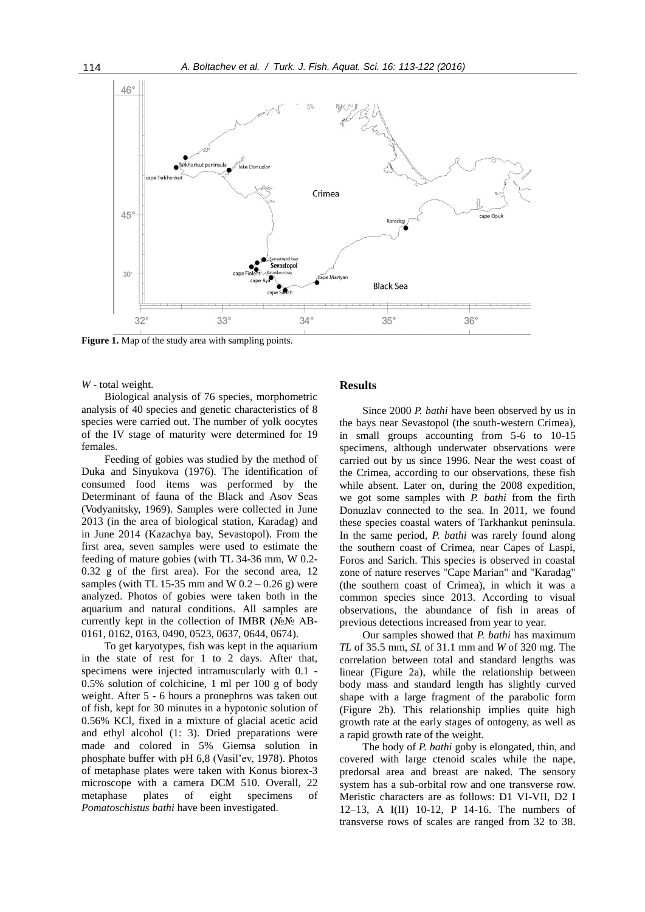

**Figure 1.** Map of the study area with sampling points.

*W* - total weight.

Biological analysis of 76 species, morphometric analysis of 40 species and genetic characteristics of 8 species were carried out. The number of yolk oocytes of the IV stage of maturity were determined for 19 females.

Feeding of gobies was studied by the method of Duka and Sinyukova (1976). The identification of consumed food items was performed by the Determinant of fauna of the Black and Asov Seas (Vodyanitsky, 1969). Samples were collected in June 2013 (in the area of biological station, Karadag) and in June 2014 (Kazachya bay, Sevastopol). From the first area, seven samples were used to estimate the feeding of mature gobies (with TL 34-36 mm, W 0.2- 0.32 g of the first area). For the second area, 12 samples (with TL 15-35 mm and W  $0.2 - 0.26$  g) were analyzed. Photos of gobies were taken both in the aquarium and natural conditions. All samples are currently kept in the collection of IMBR (№№ AB-0161, 0162, 0163, 0490, 0523, 0637, 0644, 0674).

To get karyotypes, fish was kept in the aquarium in the state of rest for 1 to 2 days. After that, specimens were injected intramuscularly with 0.1 - 0.5% solution of colchicine, 1 ml per 100 g of body weight. After 5 - 6 hours a pronephros was taken out of fish, kept for 30 minutes in a hypotonic solution of 0.56% KCl, fixed in a mixture of glacial acetic acid and ethyl alcohol (1: 3). Dried preparations were made and colored in 5% Giemsa solution in phosphate buffer with pH 6,8 (Vasil'ev, 1978). Photos of metaphase plates were taken with Konus biorex-3 microscope with a camera DCM 510. Overall, 22 metaphase plates of eight specimens of *Pomatoschistus bathi* have been investigated.

# **Results**

Since 2000 *P. bathi* have been observed by us in the bays near Sevastopol (the south-western Crimea), in small groups accounting from 5-6 to 10-15 specimens, although underwater observations were carried out by us since 1996. Near the west coast of the Crimea, according to our observations, these fish while absent. Later on, during the 2008 expedition, we got some samples with *P. bathi* from the firth Donuzlav connected to the sea. In 2011, we found these species coastal waters of Tarkhankut peninsula. In the same period, *P. bathi* was rarely found along the southern coast of Crimea, near Capes of Laspi, Foros and Sarich. This species is observed in coastal zone of nature reserves "Cape Marian" and "Karadag" (the southern coast of Crimea), in which it was a common species since 2013. According to visual observations, the abundance of fish in areas of previous detections increased from year to year.

Our samples showed that *P. bathi* has maximum *TL* of 35.5 mm, *SL* of 31.1 mm and *W* of 320 mg. The correlation between total and standard lengths was linear (Figure 2a), while the relationship between body mass and standard length has slightly curved shape with a large fragment of the parabolic form (Figure 2b). This relationship implies quite high growth rate at the early stages of ontogeny, as well as a rapid growth rate of the weight.

The body of *P. bathi* goby is elongated, thin, and covered with large ctenoid scales while the nape, predorsal area and breast are naked. The sensory system has a sub-orbital row and one transverse row. Meristic characters are as follows: D1 VI-VII, D2 I 12–13, A I(II) 10-12, P 14-16. The numbers of transverse rows of scales are ranged from 32 to 38.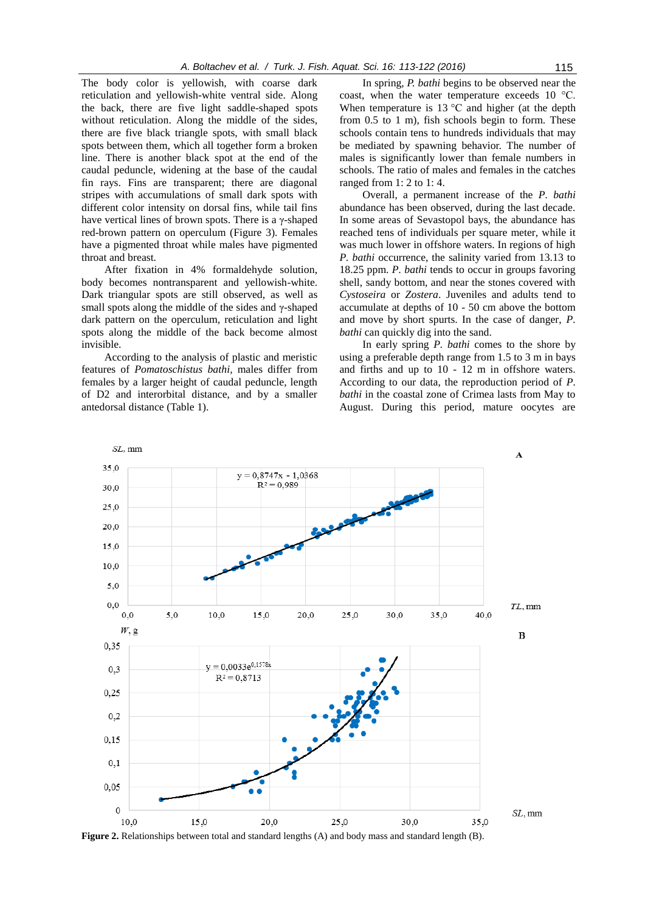The body color is yellowish, with coarse dark reticulation and yellowish-white ventral side. Along the back, there are five light saddle-shaped spots without reticulation. Along the middle of the sides, there are five black triangle spots, with small black spots between them, which all together form a broken line. There is another black spot at the end of the caudal peduncle, widening at the base of the caudal fin rays. Fins are transparent; there are diagonal stripes with accumulations of small dark spots with different color intensity on dorsal fins, while tail fins have vertical lines of brown spots. There is a γ-shaped red-brown pattern on operculum (Figure 3). Females have a pigmented throat while males have pigmented throat and breast.

After fixation in 4% formaldehyde solution, body becomes nontransparent and yellowish-white. Dark triangular spots are still observed, as well as small spots along the middle of the sides and γ-shaped dark pattern on the operculum, reticulation and light spots along the middle of the back become almost invisible.

According to the analysis of plastic and meristic features of *Pomatoschistus bathi,* males differ from females by a larger height of caudal peduncle, length of D2 and interorbital distance, and by a smaller antedorsal distance (Table 1).

 $SL$ , mm

In spring, *P. bathi* begins to be observed near the coast, when the water temperature exceeds 10 °C. When temperature is  $13 \degree C$  and higher (at the depth from 0.5 to 1 m), fish schools begin to form. These schools contain tens to hundreds individuals that may be mediated by spawning behavior. The number of males is significantly lower than female numbers in schools. The ratio of males and females in the catches ranged from 1: 2 to 1: 4.

Overall, a permanent increase of the *P. bathi* abundance has been observed, during the last decade. In some areas of Sevastopol bays, the abundance has reached tens of individuals per square meter, while it was much lower in offshore waters. In regions of high *P. bathi* occurrence, the salinity varied from 13.13 to 18.25 ppm. *P. bathi* tends to occur in groups favoring shell, sandy bottom, and near the stones covered with *Cystoseira* or *Zostera*. Juveniles and adults tend to accumulate at depths of 10 - 50 cm above the bottom and move by short spurts. In the case of danger, *P. bathi* can quickly dig into the sand.

In early spring *P. bathi* comes to the shore by using a preferable depth range from 1.5 to 3 m in bays and firths and up to 10 - 12 m in offshore waters. According to our data, the reproduction period of *P. bathi* in the coastal zone of Crimea lasts from May to August. During this period, mature oocytes are



**Figure 2.** Relationships between total and standard lengths (A) and body mass and standard length (B).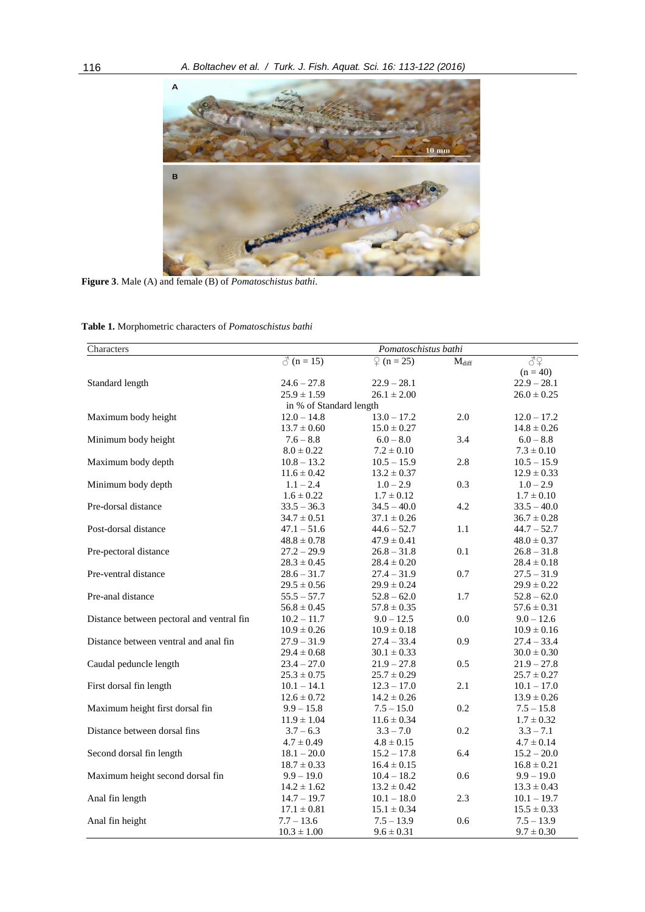

**Figure 3**. Male (A) and female (B) of *Pomatoschistus bathi*.

| <b>Table 1.</b> Morphometric characters of <i>Pomatoschistus bathi</i> |  |
|------------------------------------------------------------------------|--|
|------------------------------------------------------------------------|--|

| Characters                                |                   | Pomatoschistus bathi    |                   |                 |  |  |  |  |  |
|-------------------------------------------|-------------------|-------------------------|-------------------|-----------------|--|--|--|--|--|
|                                           | $\delta$ (n = 15) | $\binom{6}{1}$ (n = 25) | $M_{\text{diff}}$ | 82              |  |  |  |  |  |
|                                           |                   |                         |                   | $(n = 40)$      |  |  |  |  |  |
| Standard length                           | $24.6 - 27.8$     | $22.9 - 28.1$           |                   | $22.9 - 28.1$   |  |  |  |  |  |
|                                           | $25.9 \pm 1.59$   | $26.1 \pm 2.00$         |                   | $26.0 \pm 0.25$ |  |  |  |  |  |
| in % of Standard length                   |                   |                         |                   |                 |  |  |  |  |  |
| Maximum body height                       | $12.0 - 14.8$     | $13.0 - 17.2$           | 2.0               | $12.0 - 17.2$   |  |  |  |  |  |
|                                           | $13.7 \pm 0.60$   | $15.0 \pm 0.27$         |                   | $14.8 \pm 0.26$ |  |  |  |  |  |
| Minimum body height                       | $7.6 - 8.8$       | $6.0 - 8.0$             | 3.4               | $6.0 - 8.8$     |  |  |  |  |  |
|                                           | $8.0 \pm 0.22$    | $7.2 \pm 0.10$          |                   | $7.3 \pm 0.10$  |  |  |  |  |  |
| Maximum body depth                        | $10.8 - 13.2$     | $10.5 - 15.9$           | 2.8               | $10.5 - 15.9$   |  |  |  |  |  |
|                                           | $11.6 \pm 0.42$   | $13.2 \pm 0.37$         |                   | $12.9 \pm 0.33$ |  |  |  |  |  |
| Minimum body depth                        | $1.1 - 2.4$       | $1.0 - 2.9$             | 0.3               | $1.0 - 2.9$     |  |  |  |  |  |
|                                           | $1.6 \pm 0.22$    | $1.7 \pm 0.12$          |                   | $1.7 \pm 0.10$  |  |  |  |  |  |
| Pre-dorsal distance                       | $33.5 - 36.3$     | $34.5 - 40.0$           | 4.2               | $33.5 - 40.0$   |  |  |  |  |  |
|                                           | $34.7 \pm 0.51$   | $37.1 \pm 0.26$         |                   | $36.7 \pm 0.28$ |  |  |  |  |  |
| Post-dorsal distance                      | $47.1 - 51.6$     | $44.6 - 52.7$           | 1.1               | $44.7 - 52.7$   |  |  |  |  |  |
|                                           | $48.8 \pm 0.78$   | $47.9 \pm 0.41$         |                   | $48.0 \pm 0.37$ |  |  |  |  |  |
| Pre-pectoral distance                     | $27.2 - 29.9$     | $26.8 - 31.8$           | 0.1               | $26.8 - 31.8$   |  |  |  |  |  |
|                                           | $28.3 \pm 0.45$   | $28.4 \pm 0.20$         |                   | $28.4 \pm 0.18$ |  |  |  |  |  |
| Pre-ventral distance                      | $28.6 - 31.7$     | $27.4 - 31.9$           | 0.7               | $27.5 - 31.9$   |  |  |  |  |  |
|                                           | $29.5 \pm 0.56$   | $29.9 \pm 0.24$         |                   | $29.9 \pm 0.22$ |  |  |  |  |  |
| Pre-anal distance                         | $55.5 - 57.7$     | $52.8 - 62.0$           | 1.7               | $52.8 - 62.0$   |  |  |  |  |  |
|                                           | $56.8 \pm 0.45$   | $57.8 \pm 0.35$         |                   | $57.6 \pm 0.31$ |  |  |  |  |  |
| Distance between pectoral and ventral fin | $10.2 - 11.7$     | $9.0 - 12.5$            | 0.0               | $9.0 - 12.6$    |  |  |  |  |  |
|                                           | $10.9 \pm 0.26$   | $10.9 \pm 0.18$         |                   | $10.9 \pm 0.16$ |  |  |  |  |  |
| Distance between ventral and anal fin     | $27.9 - 31.9$     | $27.4 - 33.4$           | 0.9               | $27.4 - 33.4$   |  |  |  |  |  |
|                                           | $29.4 \pm 0.68$   | $30.1\pm0.33$           |                   | $30.0 \pm 0.30$ |  |  |  |  |  |
| Caudal peduncle length                    | $23.4 - 27.0$     | $21.9 - 27.8$           | 0.5               | $21.9 - 27.8$   |  |  |  |  |  |
|                                           | $25.3 \pm 0.75$   | $25.7 \pm 0.29$         |                   | $25.7 \pm 0.27$ |  |  |  |  |  |
| First dorsal fin length                   | $10.1 - 14.1$     | $12.3 - 17.0$           | 2.1               | $10.1 - 17.0$   |  |  |  |  |  |
|                                           | $12.6 \pm 0.72$   | $14.2 \pm 0.26$         |                   | $13.9 \pm 0.26$ |  |  |  |  |  |
| Maximum height first dorsal fin           | $9.9 - 15.8$      | $7.5 - 15.0$            | 0.2               | $7.5 - 15.8$    |  |  |  |  |  |
|                                           | $11.9 \pm 1.04$   | $11.6 \pm 0.34$         |                   | $1.7 \pm 0.32$  |  |  |  |  |  |
| Distance between dorsal fins              | $3.7 - 6.3$       | $3.3 - 7.0$             | $0.2\,$           | $3.3 - 7.1$     |  |  |  |  |  |
|                                           | $4.7 \pm 0.49$    | $4.8 \pm 0.15$          |                   | $4.7 \pm 0.14$  |  |  |  |  |  |
| Second dorsal fin length                  | $18.1 - 20.0$     | $15.2 - 17.8$           | 6.4               | $15.2 - 20.0$   |  |  |  |  |  |
|                                           | $18.7 \pm 0.33$   | $16.4 \pm 0.15$         |                   | $16.8 \pm 0.21$ |  |  |  |  |  |
| Maximum height second dorsal fin          | $9.9 - 19.0$      | $10.4 - 18.2$           | 0.6               | $9.9 - 19.0$    |  |  |  |  |  |
|                                           | $14.2 \pm 1.62$   | $13.2 \pm 0.42$         |                   | $13.3 \pm 0.43$ |  |  |  |  |  |
| Anal fin length                           | $14.7 - 19.7$     | $10.1 - 18.0$           | 2.3               | $10.1 - 19.7$   |  |  |  |  |  |
|                                           | $17.1 \pm 0.81$   | $15.1 \pm 0.34$         |                   | $15.5 \pm 0.33$ |  |  |  |  |  |
| Anal fin height                           | $7.7 - 13.6$      | $7.5 - 13.9$            | 0.6               | $7.5 - 13.9$    |  |  |  |  |  |
|                                           | $10.3 \pm 1.00$   | $9.6 \pm 0.31$          |                   | $9.7 \pm 0.30$  |  |  |  |  |  |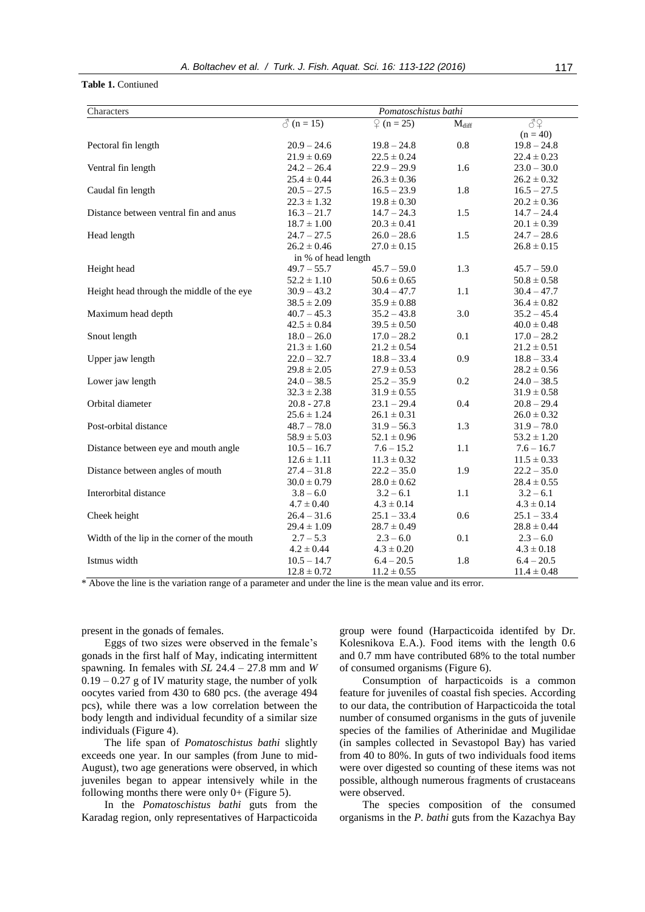#### **Table 1.** Contiuned

| Characters                                  | Pomatoschistus bathi |                         |                            |                 |  |  |  |  |
|---------------------------------------------|----------------------|-------------------------|----------------------------|-----------------|--|--|--|--|
|                                             | $\delta$ (n = 15)    | $\binom{6}{1}$ (n = 25) | $\mathbf{M}_{\text{diff}}$ | 39              |  |  |  |  |
|                                             |                      |                         |                            | $(n = 40)$      |  |  |  |  |
| Pectoral fin length                         | $20.9 - 24.6$        | $19.8 - 24.8$           | $0.8\,$                    | $19.8 - 24.8$   |  |  |  |  |
|                                             | $21.9 \pm 0.69$      | $22.5 \pm 0.24$         |                            | $22.4 \pm 0.23$ |  |  |  |  |
| Ventral fin length                          | $24.2 - 26.4$        | $22.9 - 29.9$           | 1.6                        | $23.0 - 30.0$   |  |  |  |  |
|                                             | $25.4 \pm 0.44$      | $26.3 \pm 0.36$         |                            | $26.2 \pm 0.32$ |  |  |  |  |
| Caudal fin length                           | $20.5 - 27.5$        | $16.5 - 23.9$           | 1.8                        | $16.5 - 27.5$   |  |  |  |  |
|                                             | $22.3 \pm 1.32$      | $19.8 \pm 0.30$         |                            | $20.2 \pm 0.36$ |  |  |  |  |
| Distance between ventral fin and anus       | $16.3 - 21.7$        | $14.7 - 24.3$           | 1.5                        | $14.7 - 24.4$   |  |  |  |  |
|                                             | $18.7 \pm 1.00$      | $20.3 \pm 0.41$         |                            | $20.1\pm0.39$   |  |  |  |  |
| Head length                                 | $24.7 - 27.5$        | $26.0 - 28.6$           | 1.5                        | $24.7 - 28.6$   |  |  |  |  |
|                                             | $26.2 \pm 0.46$      | $27.0 \pm 0.15$         |                            | $26.8\pm0.15$   |  |  |  |  |
|                                             | in % of head length  |                         |                            |                 |  |  |  |  |
| Height head                                 | $49.7 - 55.7$        | $45.7 - 59.0$           | 1.3                        | $45.7 - 59.0$   |  |  |  |  |
|                                             | $52.2 \pm 1.10$      | $50.6 \pm 0.65$         |                            | $50.8 \pm 0.58$ |  |  |  |  |
| Height head through the middle of the eye   | $30.9 - 43.2$        | $30.4 - 47.7$           | $1.1\,$                    | $30.4 - 47.7$   |  |  |  |  |
|                                             | $38.5 \pm 2.09$      | $35.9 \pm 0.88$         |                            | $36.4 \pm 0.82$ |  |  |  |  |
| Maximum head depth                          | $40.7 - 45.3$        | $35.2 - 43.8$           | 3.0                        | $35.2 - 45.4$   |  |  |  |  |
|                                             | $42.5 \pm 0.84$      | $39.5 \pm 0.50$         |                            | $40.0 \pm 0.48$ |  |  |  |  |
| Snout length                                | $18.0 - 26.0$        | $17.0 - 28.2$           | 0.1                        | $17.0 - 28.2$   |  |  |  |  |
|                                             | $21.3 \pm 1.60$      | $21.2 \pm 0.54$         |                            | $21.2 \pm 0.51$ |  |  |  |  |
| Upper jaw length                            | $22.0 - 32.7$        | $18.8 - 33.4$           | 0.9                        | $18.8 - 33.4$   |  |  |  |  |
|                                             | $29.8 \pm 2.05$      | $27.9 \pm 0.53$         |                            | $28.2 \pm 0.56$ |  |  |  |  |
| Lower jaw length                            | $24.0 - 38.5$        | $25.2 - 35.9$           | $0.2\,$                    | $24.0 - 38.5$   |  |  |  |  |
|                                             | $32.3 \pm 2.38$      | $31.9 \pm 0.55$         |                            | $31.9 \pm 0.58$ |  |  |  |  |
| Orbital diameter                            | $20.8 - 27.8$        | $23.1 - 29.4$           | 0.4                        | $20.8 - 29.4$   |  |  |  |  |
|                                             | $25.6 \pm 1.24$      | $26.1 \pm 0.31$         |                            | $26.0 \pm 0.32$ |  |  |  |  |
| Post-orbital distance                       | $48.7 - 78.0$        | $31.9 - 56.3$           | 1.3                        | $31.9 - 78.0$   |  |  |  |  |
|                                             | $58.9 \pm 5.03$      | $52.1 \pm 0.96$         |                            | $53.2 \pm 1.20$ |  |  |  |  |
| Distance between eye and mouth angle        | $10.5 - 16.7$        | $7.6 - 15.2$            | 1.1                        | $7.6 - 16.7$    |  |  |  |  |
|                                             | $12.6 \pm 1.11$      | $11.3 \pm 0.32$         |                            | $11.5 \pm 0.33$ |  |  |  |  |
| Distance between angles of mouth            | $27.4 - 31.8$        | $22.2 - 35.0$           | 1.9                        | $22.2 - 35.0$   |  |  |  |  |
|                                             | $30.0 \pm 0.79$      | $28.0 \pm 0.62$         |                            | $28.4 \pm 0.55$ |  |  |  |  |
| Interorbital distance                       | $3.8 - 6.0$          | $3.2 - 6.1$             | 1.1                        | $3.2 - 6.1$     |  |  |  |  |
|                                             | $4.7 \pm 0.40$       | $4.3 \pm 0.14$          |                            | $4.3 \pm 0.14$  |  |  |  |  |
| Cheek height                                | $26.4 - 31.6$        | $25.1 - 33.4$           | 0.6                        | $25.1 - 33.4$   |  |  |  |  |
|                                             | $29.4 \pm 1.09$      | $28.7 \pm 0.49$         |                            | $28.8 \pm 0.44$ |  |  |  |  |
| Width of the lip in the corner of the mouth | $2.7 - 5.3$          | $2.3 - 6.0$             | 0.1                        | $2.3 - 6.0$     |  |  |  |  |
|                                             | $4.2 \pm 0.44$       | $4.3 \pm 0.20$          |                            | $4.3 \pm 0.18$  |  |  |  |  |
| Istmus width                                | $10.5 - 14.7$        | $6.4 - 20.5$            | 1.8                        | $6.4 - 20.5$    |  |  |  |  |
|                                             | $12.8 \pm 0.72$      | $11.2 \pm 0.55$         |                            | $11.4 \pm 0.48$ |  |  |  |  |

\* Above the line is the variation range of a parameter and under the line is the mean value and its error.

present in the gonads of females.

Eggs of two sizes were observed in the female's gonads in the first half of May, indicating intermittent spawning. In females with *SL* 24.4 – 27.8 mm and *W*  $0.19 - 0.27$  g of IV maturity stage, the number of yolk oocytes varied from 430 to 680 pcs. (the average 494 pcs), while there was a low correlation between the body length and individual fecundity of a similar size individuals (Figure 4).

The life span of *Pomatoschistus bathi* slightly exceeds one year. In our samples (from June to mid-August), two age generations were observed, in which juveniles began to appear intensively while in the following months there were only  $0+$  (Figure 5).

In the *Pomatoschistus bathi* guts from the Karadag region, only representatives of Harpacticoida

group were found (Harpacticoida identifed by Dr. Kolesnikova E.A.). Food items with the length 0.6 and 0.7 mm have contributed 68% to the total number of consumed organisms (Figure 6).

Consumption of harpacticoids is a common feature for juveniles of coastal fish species. According to our data, the contribution of Harpacticoida the total number of consumed organisms in the guts of juvenile species of the families of Atherinidae and Mugilidae (in samples collected in Sevastopol Bay) has varied from 40 to 80%. In guts of two individuals food items were over digested so counting of these items was not possible, although numerous fragments of crustaceans were observed.

The species composition of the consumed organisms in the *P. bathi* guts from the Kazachya Bay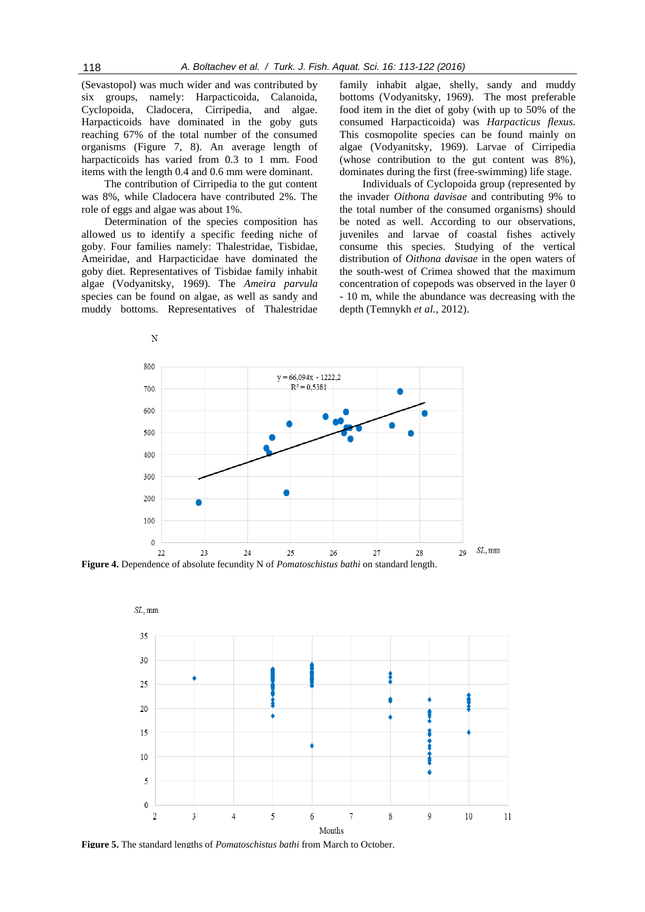(Sevastopol) was much wider and was contributed by six groups, namely: Harpacticoida, Calanoida, Cyclopoida, Cladocera, Cirripedia, and algae. Harpacticoids have dominated in the goby guts reaching 67% of the total number of the consumed organisms (Figure 7, 8). An average length of harpacticoids has varied from 0.3 to 1 mm. Food items with the length 0.4 and 0.6 mm were dominant.

The contribution of Cirripedia to the gut content was 8%, while Cladocera have contributed 2%. The role of eggs and algae was about 1%.

Determination of the species composition has allowed us to identify a specific feeding niche of goby. Four families namely: Thalestridae, Tisbidae, Ameiridae, and Harpacticidae have dominated the goby diet. Representatives of Tisbidae family inhabit algae (Vodyanitsky, 1969). The *Ameira parvula*  species can be found on algae, as well as sandy and muddy bottoms. Representatives of Thalestridae

N

family inhabit algae, shelly, sandy and muddy bottoms (Vodyanitsky, 1969). The most preferable food item in the diet of goby (with up to 50% of the consumed Harpacticoida) was *Harpacticus flexus.*  This cosmopolite species can be found mainly on algae (Vodyanitsky, 1969). Larvae of Cirripedia (whose contribution to the gut content was 8%), dominates during the first (free-swimming) life stage.

Individuals of Cyclopoida group (represented by the invader *Oithona davisae* and contributing 9% to the total number of the consumed organisms) should be noted as well. According to our observations, juveniles and larvae of coastal fishes actively consume this species. Studying of the vertical distribution of *Oithona davisae* in the open waters of the south-west of Crimea showed that the maximum concentration of copepods was observed in the layer 0 - 10 m, while the abundance was decreasing with the depth (Temnykh *et al.,* 2012).



**Figure 4.** Dependence of absolute fecundity N of *Pomatoschistus bathi* on standard length.



**Figure 5.** The standard lengths of *Pomatoschistus bathi* from March to October.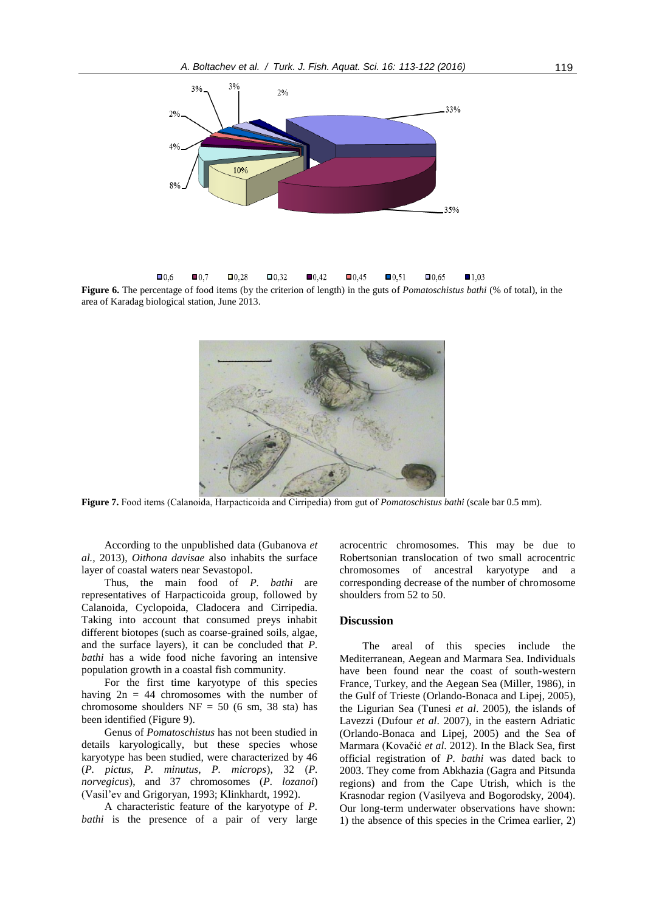

 $\Box 0.6$  $\blacksquare$ 0.7  $\square$ 0.28  $\square$ 0.32  $\blacksquare$ 0.42  $\blacksquare$ 0.45  $\blacksquare$ 0.51  $\square$ 0.65  $\blacksquare$ 1.03 **Figure 6.** The percentage of food items (by the criterion of length) in the guts of *Pomatoschistus bathi* (% of total), in the area of Karadag biological station, June 2013.



**Figure 7.** Food items (Calanoida, Harpacticoidа and Cirripedia) from gut of *Pomatoschistus bathi* (scale bar 0.5 mm).

According to the unpublished data (Gubanova *et al.,* 2013), *Oithona davisae* also inhabits the surface layer of coastal waters near Sevastopol.

Thus, the main food of *P. bathi* are representatives of Harpacticoida group, followed by Calanoida, Cyclopoida, Cladocera and Cirripedia. Taking into account that consumed preys inhabit different biotopes (such as coarse-grained soils, algae, and the surface layers), it can be concluded that *P. bathi* has a wide food niche favoring an intensive population growth in a coastal fish community.

For the first time karyotype of this species having  $2n = 44$  chromosomes with the number of chromosome shoulders  $NF = 50$  (6 sm, 38 sta) has been identified (Figure 9).

Genus of *Pomatoschistus* has not been studied in details karyologically, but these species whose karyotype has been studied, were characterized by 46 (*P. pictus, P. minutus, P. microps*), 32 (*P. norvegicus*), and 37 chromosomes (*P. lozanoi*) (Vasil'ev and Grigoryan, 1993; Klinkhardt, 1992).

A characteristic feature of the karyotype of *P. bathi* is the presence of a pair of very large acrocentric chromosomes. This may be due to Robertsonian translocation of two small acrocentric chromosomes of ancestral karyotype and a corresponding decrease of the number of chromosome shoulders from 52 to 50.

## **Discussion**

The areal of this species include the Mediterranean, Aegean and Marmara Sea. Individuals have been found near the coast of south-western France, Turkey, and the Aegean Sea (Miller, 1986), in the Gulf of Trieste (Orlando-Bonaca and Lipej, 2005), the Ligurian Sea (Tunesi *et al*. 2005), the islands of Lavezzi (Dufour *et al*. 2007), in the eastern Adriatic (Orlando-Bonaca and Lipej, 2005) and the Sea of Marmara (Kovačić *et al*. 2012). In the Black Sea, first official registration of *P. bathi* was dated back to 2003. They come from Abkhazia (Gagra and Pitsunda regions) and from the Cape Utrish, which is the Krasnodar region (Vasilyeva and Bogorodsky, 2004). Our long-term underwater observations have shown: 1) the absence of this species in the Crimea earlier, 2)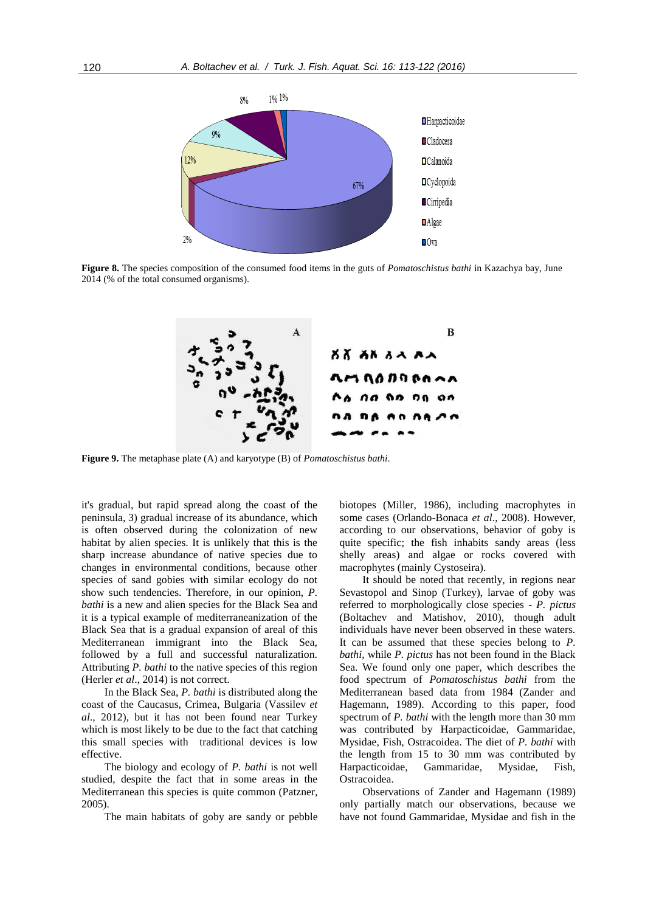

**Figure 8.** The species composition of the consumed food items in the guts of *Pomatoschistus bathi* in Kazachya bay, June 2014 (% of the total consumed organisms).



**Figure 9.** The metaphase plate (A) and karyotype (B) of *Pomatoschistus bathi*.

it's gradual, but rapid spread along the coast of the peninsula, 3) gradual increase of its abundance, which is often observed during the colonization of new habitat by alien species. It is unlikely that this is the sharp increase abundance of native species due to changes in environmental conditions, because other species of sand gobies with similar ecology do not show such tendencies. Therefore, in our opinion, *P. bathi* is a new and alien species for the Black Sea and it is a typical example of mediterraneanization of the Black Sea that is a gradual expansion of areal of this Mediterranean immigrant into the Black Sea, followed by a full and successful naturalization. Attributing *P. bathi* to the native species of this region (Herler *et al*., 2014) is not correct.

In the Black Sea, *P. bathi* is distributed along the coast of the Caucasus, Crimea, Bulgaria (Vassilev *et al*., 2012), but it has not been found near Turkey which is most likely to be due to the fact that catching this small species with traditional devices is low effective.

The biology and ecology of *P. bathi* is not well studied, despite the fact that in some areas in the Mediterranean this species is quite common (Patzner, 2005).

The main habitats of goby are sandy or pebble

biotopes (Miller, 1986), including macrophytes in some cases (Orlando-Bonaca *et al*., 2008). However, according to our observations, behavior of goby is quite specific; the fish inhabits sandy areas (less shelly areas) and algae or rocks covered with macrophytes (mainly Cystoseira).

It should be noted that recently, in regions near Sevastopol and Sinop (Turkey), larvae of goby was referred to morphologically close species - *P. pictus* (Boltachev and Matishov, 2010), though adult individuals have never been observed in these waters. It can be assumed that these species belong to *P. bathi*, while *P. pictus* has not been found in the Black Sea. We found only one paper, which describes the food spectrum of *Pomatoschistus bathi* from the Mediterranean based data from 1984 (Zander and Hagemann, 1989). According to this paper, food spectrum of *P. bathi* with the length more than 30 mm was contributed by Harpacticoidae, Gammaridae, Mysidae, Fish, Ostracoidea. The diet of *P. bathi* with the length from 15 to 30 mm was contributed by Harpacticoidae, Gammaridae, Mysidae, Fish, Ostracoidea.

Observations of Zander and Hagemann (1989) only partially match our observations, because we have not found Gammaridae, Mysidae and fish in the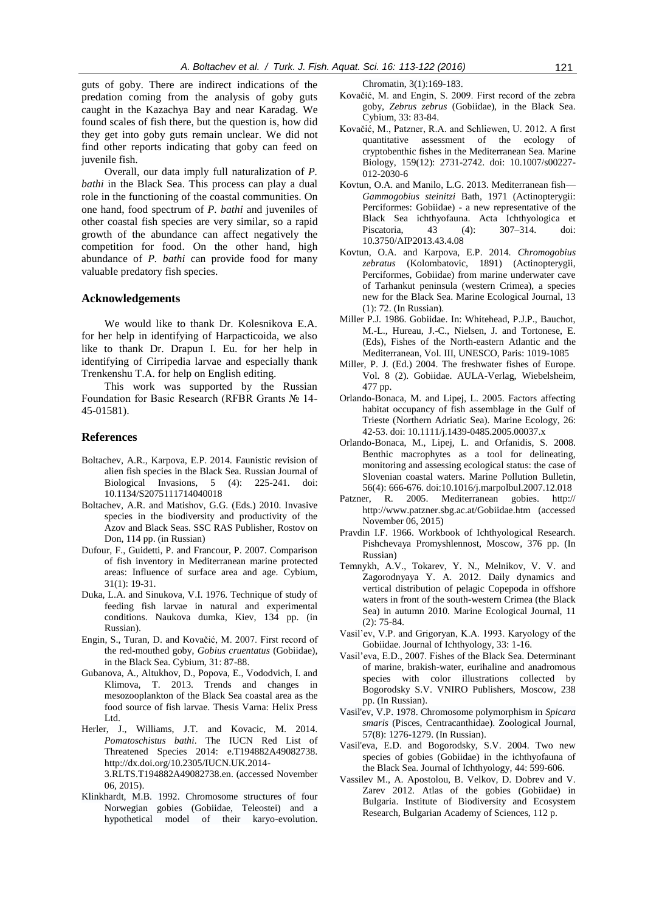guts of goby. There are indirect indications of the predation coming from the analysis of goby guts caught in the Kazachya Bay and near Karadag. We found scales of fish there, but the question is, how did they get into goby guts remain unclear. We did not find other reports indicating that goby can feed on juvenile fish.

Overall, our data imply full naturalization of *P. bathi* in the Black Sea. This process can play a dual role in the functioning of the coastal communities. On one hand, food spectrum of *P. bathi* and juveniles of other coastal fish species are very similar, so a rapid growth of the abundance can affect negatively the competition for food. On the other hand, high abundance of *P. bathi* can provide food for many valuable predatory fish species.

### **Acknowledgements**

We would like to thank Dr. Kolesnikova E.A. for her help in identifying of Harpacticoida, we also like to thank Dr. Drapun I. Eu. for her help in identifying of Cirripedia larvae and especially thank Trenkenshu T.A. for help on English editing.

This work was supported by the Russian Foundation for Basic Research (RFBR Grants № 14- 45-01581).

#### **References**

- Boltachev, A.R., Karpova, E.P. 2014. Faunistic revision of alien fish species in the Black Sea. [Russian](http://link.springer.com/journal/13168) Journal of [Biological](http://link.springer.com/journal/13168) Invasions, 5 (4): 225-241. doi: 10.1134/S2075111714040018
- Boltachev, A.R. and Matishov, G.G. (Eds.) 2010. Invasive species in the biodiversity and productivity of the Azov and Black Seas. SSC RAS Publisher, Rostov on Don, 114 pp. (in Russian)
- Dufour, F., Guidetti, P. and Francour, P. 2007. Comparison of fish inventory in Mediterranean marine protected areas: Influence of surface area and age. Cybium, 31(1): 19-31.
- Duka, L.A. and Sinukova, V.I. 1976. Technique of study of feeding fish larvae in natural and experimental conditions. Naukova dumka, Kiev, 134 pp. (in Russian).
- Engin, S., Turan, D. and Kovačić, M. 2007. First record of the red-mouthed goby, *Gobius cruentatus* (Gobiidae), in the Black Sea. Cybium, 31: 87-88.
- Gubanova, A., Altukhov, D., Popova, E., Vododvich, I. and Klimova, T. 2013. Trends and changes in mesozooplankton of the Black Sea coastal area as the food source of fish larvae. Thesis Varna: Helix Press Ltd.
- Herler, J., Williams, J.T. and Kovacic, M. 2014. *Pomatoschistus bathi*. The IUCN Red List of Threatened Species 2014: e.T194882A49082738. http://dx.doi.org/10.2305/IUCN.UK.2014- 3.RLTS.T194882A49082738.en. (accessed November 06, 2015).
- Klinkhardt, M.B. 1992. Chromosome structures of four Norwegian gobies (Gobiidae, Teleostei) and a hypothetical model of their karyo-evolution.

Chromatin, 3(1):169-183.

- Kovačić, M. and Engin, S. 2009. First record of the zebra goby, *Zebrus zebrus* (Gobiidae), in the Black Sea. Cybium, 33: 83-84.
- Kovačić, M., Patzner, R.A. and Schliewen, U. 2012. A first quantitative assessment of the ecology of cryptobenthic fishes in the Mediterranean Sea. Marine Biology, 159(12): 2731-2742. doi: 10.1007/s00227- 012-2030-6
- Kovtun, O.A. and Manilo, L.G. 2013. Mediterranean fish— *Gammogobius steinitzi* Bath, 1971 (Actinopterygii: Perciformes: Gobiidae) - a new representative of the Black Sea ichthyofauna. Acta Ichthyologica et Piscatoria, 43 (4): 307–314. doi: 10.3750/AIP2013.43.4.08
- Kovtun, O.A. and Karpova, E.P. 2014. *Chromogobius zebratus* (Kolombatovic, 1891) (Actinopterygii, Perciformes, Gobiidae) from marine underwater cave of Tarhankut peninsula (western Crimea), a species new for the Black Sea. Marine Ecological Journal, 13 (1): 72. (In Russian).
- Miller P.J. 1986. Gobiidae. In: Whitehead, P.J.P., Bauchot, M.-L., Hureau, J.-C., Nielsen, J. and Tortonese, E. (Eds), Fishes of the North-eastern Atlantic and the Mediterranean, Vol. III, UNESCO, Paris: 1019-1085
- Miller, P. J. (Ed.) 2004. The freshwater fishes of Europe. Vol. 8 (2). Gobiidae. AULA-Verlag, Wiebelsheim, 477 pp.
- Orlando-Bonaca, M. and Lipej, L. 2005. Factors affecting habitat occupancy of fish assemblage in the Gulf of Trieste (Northern Adriatic Sea). Marine Ecology, 26: 42-53. doi: 10.1111/j.1439-0485.2005.00037.x
- Orlando-Bonaca, M., Lipej, L. and Orfanidis, S. 2008. Benthic macrophytes as a tool for delineating, monitoring and assessing ecological status: the case of Slovenian coastal waters. Marine Pollution Bulletin, 56(4): 666-676. doi:10.1016/j.marpolbul.2007.12.018
- Patzner, R. 2005. Mediterranean gobies. http:// http://www.patzner.sbg.ac.at/Gobiidae.htm (accessed November 06, 2015)
- Pravdin I.F. 1966. Workbook of Ichthyological Research. Pishchevaya Promyshlennost, Moscow, 376 pp. (In Russian)
- Temnykh, A.V., Tokarev, Y. N., Melnikov, V. V. and Zagorodnyaya Y. A. 2012. Daily dynamics and vertical distribution of pelagic Copepoda in offshore waters in front of the south-western Crimea (the Black Sea) in autumn 2010. Marine Ecological Journal, 11 (2): 75-84.
- Vasil'ev, V.P. and Grigoryan, K.A. 1993. Karyology of the Gobiidae. Journal of Ichthyology, 33: 1-16.
- Vasil'eva, E.D., 2007. Fishes of the Black Sea. Determinant of marine, brakish-water, eurihaline and anadromous species with color illustrations collected by Bogorodsky S.V. VNIRO Publishers, Moscow, 238 pp. (In Russian).
- Vasil'ev, V.P. 1978. Chromosome polymorphism in *Spicara smaris* (Pisces, Centracanthidae). Zoological Journal, 57(8): 1276-1279. (In Russian).
- Vasil'eva, E.D. and Bogorodsky, S.V. 2004. Two new species of gobies (Gobiidae) in the ichthyofauna of the Black Sea. Journal of Ichthyology, 44: 599-606.
- Vassilev M., A. Apostolou, B. Velkov, D. Dobrev and V. Zarev 2012. Atlas of the gobies (Gobiidae) in Bulgaria. Institute of Biodiversity and Ecosystem Research, Bulgarian Academy of Sciences, 112 p.